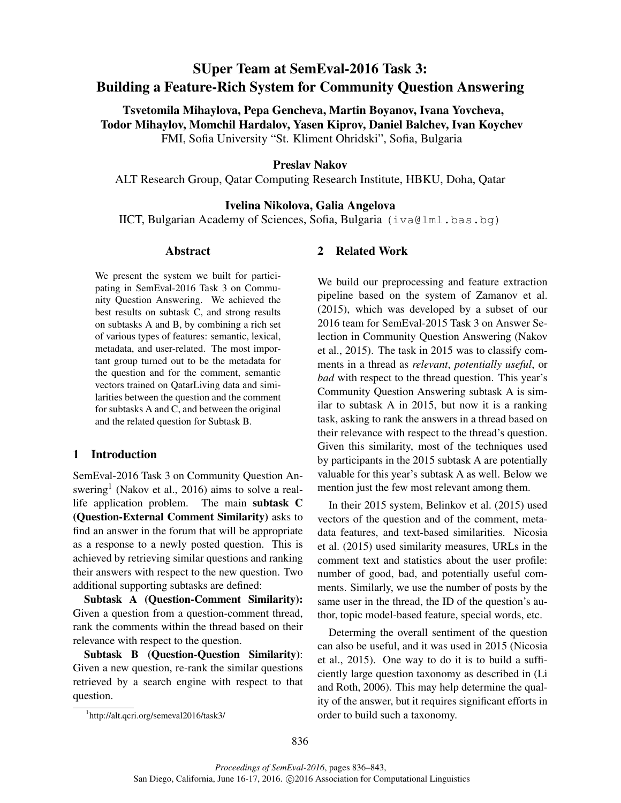# SUper Team at SemEval-2016 Task 3: Building a Feature-Rich System for Community Question Answering

Tsvetomila Mihaylova, Pepa Gencheva, Martin Boyanov, Ivana Yovcheva, Todor Mihaylov, Momchil Hardalov, Yasen Kiprov, Daniel Balchev, Ivan Koychev FMI, Sofia University "St. Kliment Ohridski", Sofia, Bulgaria

## Preslav Nakov

ALT Research Group, Qatar Computing Research Institute, HBKU, Doha, Qatar

# Ivelina Nikolova, Galia Angelova

IICT, Bulgarian Academy of Sciences, Sofia, Bulgaria (iva@lml.bas.bg)

## Abstract

We present the system we built for participating in SemEval-2016 Task 3 on Community Question Answering. We achieved the best results on subtask C, and strong results on subtasks A and B, by combining a rich set of various types of features: semantic, lexical, metadata, and user-related. The most important group turned out to be the metadata for the question and for the comment, semantic vectors trained on QatarLiving data and similarities between the question and the comment for subtasks A and C, and between the original and the related question for Subtask B.

### 1 Introduction

SemEval-2016 Task 3 on Community Question Answering<sup>1</sup> (Nakov et al., 2016) aims to solve a reallife application problem. The main subtask C (Question-External Comment Similarity) asks to find an answer in the forum that will be appropriate as a response to a newly posted question. This is achieved by retrieving similar questions and ranking their answers with respect to the new question. Two additional supporting subtasks are defined:

Subtask A (Question-Comment Similarity): Given a question from a question-comment thread, rank the comments within the thread based on their relevance with respect to the question.

Subtask B (Question-Question Similarity): Given a new question, re-rank the similar questions retrieved by a search engine with respect to that question.

# 2 Related Work

We build our preprocessing and feature extraction pipeline based on the system of Zamanov et al. (2015), which was developed by a subset of our 2016 team for SemEval-2015 Task 3 on Answer Selection in Community Question Answering (Nakov et al., 2015). The task in 2015 was to classify comments in a thread as *relevant*, *potentially useful*, or *bad* with respect to the thread question. This year's Community Question Answering subtask A is similar to subtask A in 2015, but now it is a ranking task, asking to rank the answers in a thread based on their relevance with respect to the thread's question. Given this similarity, most of the techniques used by participants in the 2015 subtask A are potentially valuable for this year's subtask A as well. Below we mention just the few most relevant among them.

In their 2015 system, Belinkov et al. (2015) used vectors of the question and of the comment, metadata features, and text-based similarities. Nicosia et al. (2015) used similarity measures, URLs in the comment text and statistics about the user profile: number of good, bad, and potentially useful comments. Similarly, we use the number of posts by the same user in the thread, the ID of the question's author, topic model-based feature, special words, etc.

Determing the overall sentiment of the question can also be useful, and it was used in 2015 (Nicosia et al., 2015). One way to do it is to build a sufficiently large question taxonomy as described in (Li and Roth, 2006). This may help determine the quality of the answer, but it requires significant efforts in order to build such a taxonomy.

<sup>1</sup> http://alt.qcri.org/semeval2016/task3/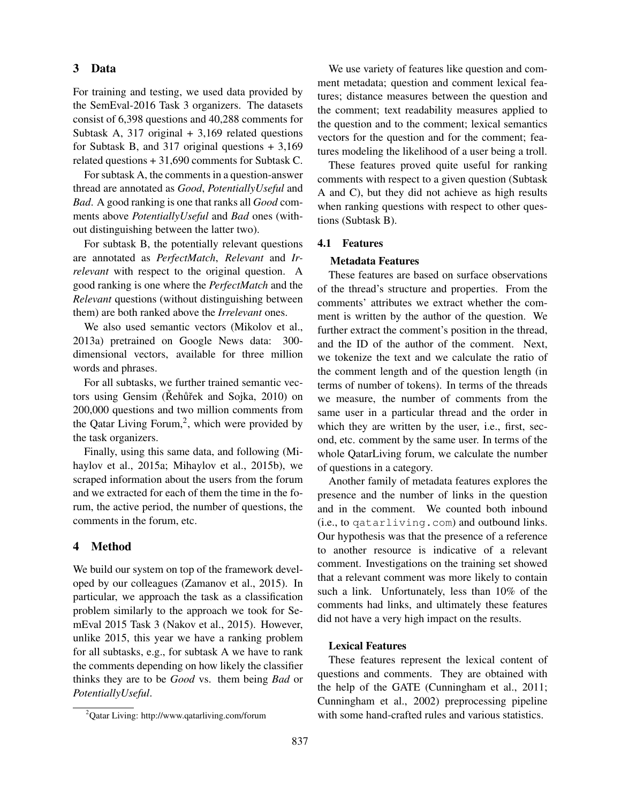# 3 Data

For training and testing, we used data provided by the SemEval-2016 Task 3 organizers. The datasets consist of 6,398 questions and 40,288 comments for Subtask A,  $317$  original  $+3,169$  related questions for Subtask B, and 317 original questions + 3,169 related questions + 31,690 comments for Subtask C.

For subtask A, the comments in a question-answer thread are annotated as *Good*, *PotentiallyUseful* and *Bad*. A good ranking is one that ranks all *Good* comments above *PotentiallyUseful* and *Bad* ones (without distinguishing between the latter two).

For subtask B, the potentially relevant questions are annotated as *PerfectMatch*, *Relevant* and *Irrelevant* with respect to the original question. A good ranking is one where the *PerfectMatch* and the *Relevant* questions (without distinguishing between them) are both ranked above the *Irrelevant* ones.

We also used semantic vectors (Mikolov et al., 2013a) pretrained on Google News data: 300 dimensional vectors, available for three million words and phrases.

For all subtasks, we further trained semantic vectors using Gensim (Rehũřek and Sojka, 2010) on 200,000 questions and two million comments from the Qatar Living Forum,<sup>2</sup>, which were provided by the task organizers.

Finally, using this same data, and following (Mihaylov et al., 2015a; Mihaylov et al., 2015b), we scraped information about the users from the forum and we extracted for each of them the time in the forum, the active period, the number of questions, the comments in the forum, etc.

## 4 Method

We build our system on top of the framework developed by our colleagues (Zamanov et al., 2015). In particular, we approach the task as a classification problem similarly to the approach we took for SemEval 2015 Task 3 (Nakov et al., 2015). However, unlike 2015, this year we have a ranking problem for all subtasks, e.g., for subtask A we have to rank the comments depending on how likely the classifier thinks they are to be *Good* vs. them being *Bad* or *PotentiallyUseful*.

We use variety of features like question and comment metadata; question and comment lexical features; distance measures between the question and the comment; text readability measures applied to the question and to the comment; lexical semantics vectors for the question and for the comment; features modeling the likelihood of a user being a troll.

These features proved quite useful for ranking comments with respect to a given question (Subtask A and C), but they did not achieve as high results when ranking questions with respect to other questions (Subtask B).

#### 4.1 Features

#### Metadata Features

These features are based on surface observations of the thread's structure and properties. From the comments' attributes we extract whether the comment is written by the author of the question. We further extract the comment's position in the thread, and the ID of the author of the comment. Next, we tokenize the text and we calculate the ratio of the comment length and of the question length (in terms of number of tokens). In terms of the threads we measure, the number of comments from the same user in a particular thread and the order in which they are written by the user, i.e., first, second, etc. comment by the same user. In terms of the whole QatarLiving forum, we calculate the number of questions in a category.

Another family of metadata features explores the presence and the number of links in the question and in the comment. We counted both inbound (i.e., to qatarliving.com) and outbound links. Our hypothesis was that the presence of a reference to another resource is indicative of a relevant comment. Investigations on the training set showed that a relevant comment was more likely to contain such a link. Unfortunately, less than 10% of the comments had links, and ultimately these features did not have a very high impact on the results.

## Lexical Features

These features represent the lexical content of questions and comments. They are obtained with the help of the GATE (Cunningham et al., 2011; Cunningham et al., 2002) preprocessing pipeline with some hand-crafted rules and various statistics.

<sup>2</sup>Qatar Living: http://www.qatarliving.com/forum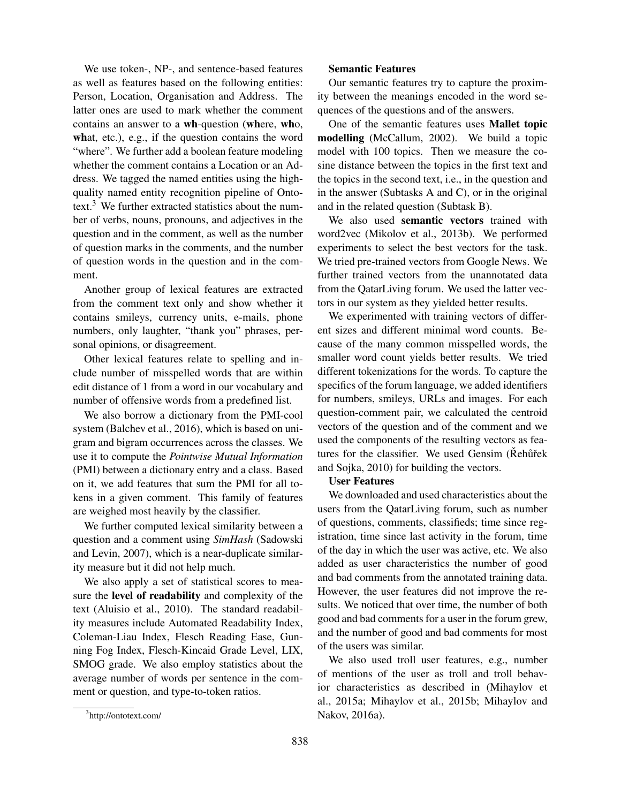We use token-, NP-, and sentence-based features as well as features based on the following entities: Person, Location, Organisation and Address. The latter ones are used to mark whether the comment contains an answer to a wh-question (where, who, what, etc.), e.g., if the question contains the word "where". We further add a boolean feature modeling whether the comment contains a Location or an Address. We tagged the named entities using the highquality named entity recognition pipeline of Ontotext. $3$  We further extracted statistics about the number of verbs, nouns, pronouns, and adjectives in the question and in the comment, as well as the number of question marks in the comments, and the number of question words in the question and in the comment.

Another group of lexical features are extracted from the comment text only and show whether it contains smileys, currency units, e-mails, phone numbers, only laughter, "thank you" phrases, personal opinions, or disagreement.

Other lexical features relate to spelling and include number of misspelled words that are within edit distance of 1 from a word in our vocabulary and number of offensive words from a predefined list.

We also borrow a dictionary from the PMI-cool system (Balchev et al., 2016), which is based on unigram and bigram occurrences across the classes. We use it to compute the *Pointwise Mutual Information* (PMI) between a dictionary entry and a class. Based on it, we add features that sum the PMI for all tokens in a given comment. This family of features are weighed most heavily by the classifier.

We further computed lexical similarity between a question and a comment using *SimHash* (Sadowski and Levin, 2007), which is a near-duplicate similarity measure but it did not help much.

We also apply a set of statistical scores to measure the level of readability and complexity of the text (Aluisio et al., 2010). The standard readability measures include Automated Readability Index, Coleman-Liau Index, Flesch Reading Ease, Gunning Fog Index, Flesch-Kincaid Grade Level, LIX, SMOG grade. We also employ statistics about the average number of words per sentence in the comment or question, and type-to-token ratios.

#### Semantic Features

Our semantic features try to capture the proximity between the meanings encoded in the word sequences of the questions and of the answers.

One of the semantic features uses Mallet topic modelling (McCallum, 2002). We build a topic model with 100 topics. Then we measure the cosine distance between the topics in the first text and the topics in the second text, i.e., in the question and in the answer (Subtasks A and C), or in the original and in the related question (Subtask B).

We also used semantic vectors trained with word2vec (Mikolov et al., 2013b). We performed experiments to select the best vectors for the task. We tried pre-trained vectors from Google News. We further trained vectors from the unannotated data from the QatarLiving forum. We used the latter vectors in our system as they yielded better results.

We experimented with training vectors of different sizes and different minimal word counts. Because of the many common misspelled words, the smaller word count yields better results. We tried different tokenizations for the words. To capture the specifics of the forum language, we added identifiers for numbers, smileys, URLs and images. For each question-comment pair, we calculated the centroid vectors of the question and of the comment and we used the components of the resulting vectors as features for the classifier. We used Gensim (Rehurek and Sojka, 2010) for building the vectors.

## User Features

We downloaded and used characteristics about the users from the QatarLiving forum, such as number of questions, comments, classifieds; time since registration, time since last activity in the forum, time of the day in which the user was active, etc. We also added as user characteristics the number of good and bad comments from the annotated training data. However, the user features did not improve the results. We noticed that over time, the number of both good and bad comments for a user in the forum grew, and the number of good and bad comments for most of the users was similar.

We also used troll user features, e.g., number of mentions of the user as troll and troll behavior characteristics as described in (Mihaylov et al., 2015a; Mihaylov et al., 2015b; Mihaylov and Nakov, 2016a).

<sup>3</sup> http://ontotext.com/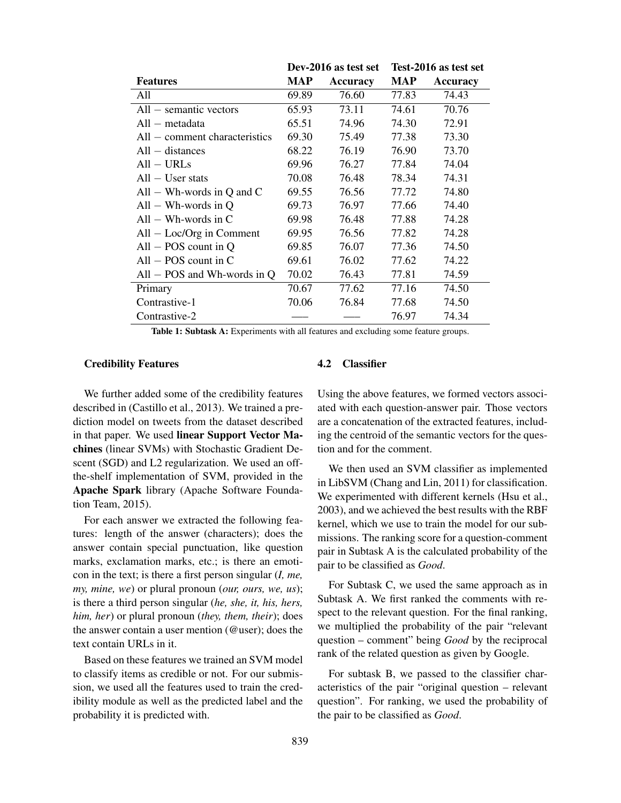|                                 | Dev-2016 as test set |          | Test-2016 as test set |          |
|---------------------------------|----------------------|----------|-----------------------|----------|
| <b>Features</b>                 | MAP                  | Accuracy | MAP                   | Accuracy |
| All                             | 69.89                | 76.60    | 77.83                 | 74.43    |
| $All$ – semantic vectors        | 65.93                | 73.11    | 74.61                 | 70.76    |
| $All - metadata$                | 65.51                | 74.96    | 74.30                 | 72.91    |
| $All$ – comment characteristics | 69.30                | 75.49    | 77.38                 | 73.30    |
| $All - distances$               | 68.22                | 76.19    | 76.90                 | 73.70    |
| All – URLs                      | 69.96                | 76.27    | 77.84                 | 74.04    |
| $All - User stats$              | 70.08                | 76.48    | 78.34                 | 74.31    |
| All $-$ Wh-words in Q and C     | 69.55                | 76.56    | 77.72                 | 74.80    |
| $All - Wh-words$ in Q           | 69.73                | 76.97    | 77.66                 | 74.40    |
| $All - Wh-words$ in C           | 69.98                | 76.48    | 77.88                 | 74.28    |
| $All - Loc/Org$ in Comment      | 69.95                | 76.56    | 77.82                 | 74.28    |
| $All - POS$ count in Q          | 69.85                | 76.07    | 77.36                 | 74.50    |
| $All - POS$ count in C          | 69.61                | 76.02    | 77.62                 | 74.22    |
| $All - POS$ and Wh-words in Q   | 70.02                | 76.43    | 77.81                 | 74.59    |
| Primary                         | 70.67                | 77.62    | 77.16                 | 74.50    |
| Contrastive-1                   | 70.06                | 76.84    | 77.68                 | 74.50    |
| Contrastive-2                   |                      |          | 76.97                 | 74.34    |
|                                 |                      |          |                       |          |

Table 1: Subtask A: Experiments with all features and excluding some feature groups.

#### Credibility Features

We further added some of the credibility features described in (Castillo et al., 2013). We trained a prediction model on tweets from the dataset described in that paper. We used linear Support Vector Machines (linear SVMs) with Stochastic Gradient Descent (SGD) and L2 regularization. We used an offthe-shelf implementation of SVM, provided in the Apache Spark library (Apache Software Foundation Team, 2015).

For each answer we extracted the following features: length of the answer (characters); does the answer contain special punctuation, like question marks, exclamation marks, etc.; is there an emoticon in the text; is there a first person singular (*I, me, my, mine, we*) or plural pronoun (*our, ours, we, us*); is there a third person singular (*he, she, it, his, hers, him, her*) or plural pronoun (*they, them, their*); does the answer contain a user mention (@user); does the text contain URLs in it.

Based on these features we trained an SVM model to classify items as credible or not. For our submission, we used all the features used to train the credibility module as well as the predicted label and the probability it is predicted with.

#### 4.2 Classifier

Using the above features, we formed vectors associated with each question-answer pair. Those vectors are a concatenation of the extracted features, including the centroid of the semantic vectors for the question and for the comment.

We then used an SVM classifier as implemented in LibSVM (Chang and Lin, 2011) for classification. We experimented with different kernels (Hsu et al., 2003), and we achieved the best results with the RBF kernel, which we use to train the model for our submissions. The ranking score for a question-comment pair in Subtask A is the calculated probability of the pair to be classified as *Good*.

For Subtask C, we used the same approach as in Subtask A. We first ranked the comments with respect to the relevant question. For the final ranking, we multiplied the probability of the pair "relevant question – comment" being *Good* by the reciprocal rank of the related question as given by Google.

For subtask B, we passed to the classifier characteristics of the pair "original question – relevant question". For ranking, we used the probability of the pair to be classified as *Good*.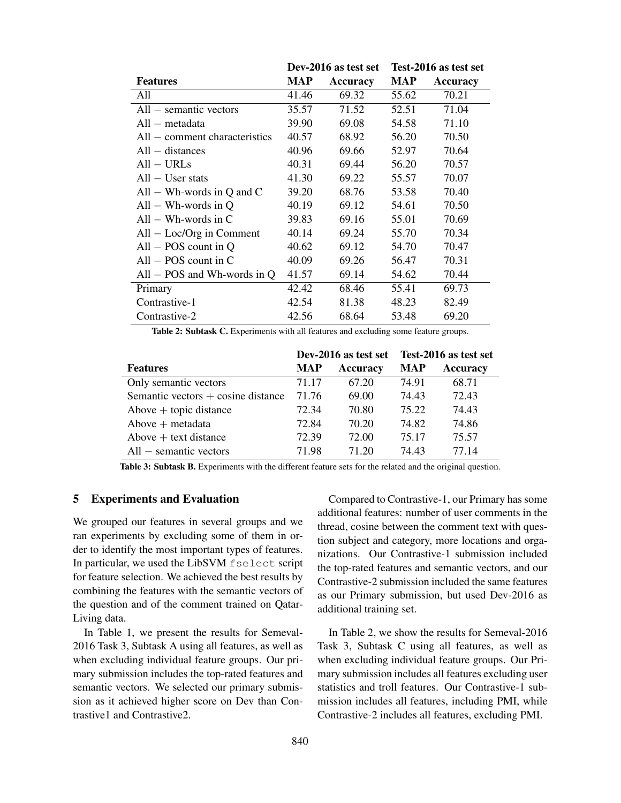|                                 | Dev-2016 as test set |                 | Test-2016 as test set |                 |
|---------------------------------|----------------------|-----------------|-----------------------|-----------------|
| <b>Features</b>                 | MAP                  | <b>Accuracy</b> | <b>MAP</b>            | <b>Accuracy</b> |
| All                             | 41.46                | 69.32           | 55.62                 | 70.21           |
| $All$ – semantic vectors        | 35.57                | 71.52           | 52.51                 | 71.04           |
| $All - metadata$                | 39.90                | 69.08           | 54.58                 | 71.10           |
| $All$ – comment characteristics | 40.57                | 68.92           | 56.20                 | 70.50           |
| $All - distances$               | 40.96                | 69.66           | 52.97                 | 70.64           |
| $All - URLs$                    | 40.31                | 69.44           | 56.20                 | 70.57           |
| $All - User stats$              | 41.30                | 69.22           | 55.57                 | 70.07           |
| All – Wh-words in Q and C       | 39.20                | 68.76           | 53.58                 | 70.40           |
| $All - Wh-words$ in Q           | 40.19                | 69.12           | 54.61                 | 70.50           |
| $All - Wh$ -words in C          | 39.83                | 69.16           | 55.01                 | 70.69           |
| $All - Loc/Org$ in Comment      | 40.14                | 69.24           | 55.70                 | 70.34           |
| $All - POS$ count in Q          | 40.62                | 69.12           | 54.70                 | 70.47           |
| $All - POS$ count in C          | 40.09                | 69.26           | 56.47                 | 70.31           |
| All $-$ POS and Wh-words in Q   | 41.57                | 69.14           | 54.62                 | 70.44           |
| Primary                         | 42.42                | 68.46           | 55.41                 | 69.73           |
| Contrastive-1                   | 42.54                | 81.38           | 48.23                 | 82.49           |
| Contrastive-2                   | 42.56                | 68.64           | 53.48                 | 69.20           |

Table 2: Subtask C. Experiments with all features and excluding some feature groups.

|                                      | Dev-2016 as test set |                 | Test-2016 as test set |                 |
|--------------------------------------|----------------------|-----------------|-----------------------|-----------------|
| <b>Features</b>                      | <b>MAP</b>           | <b>Accuracy</b> | <b>MAP</b>            | <b>Accuracy</b> |
| Only semantic vectors                | 71.17                | 67.20           | 74.91                 | 68.71           |
| Semantic vectors $+$ cosine distance | 71.76                | 69.00           | 74.43                 | 72.43           |
| Above $+$ topic distance             | 72.34                | 70.80           | 75.22                 | 74.43           |
| $Above + metadata$                   | 72.84                | 70.20           | 74.82                 | 74.86           |
| Above $+$ text distance              | 72.39                | 72.00           | 75.17                 | 75.57           |
| $All$ – semantic vectors             | 71.98                | 71.20           | 74.43                 | 77 14           |

Table 3: Subtask B. Experiments with the different feature sets for the related and the original question.

## 5 Experiments and Evaluation

We grouped our features in several groups and we ran experiments by excluding some of them in order to identify the most important types of features. In particular, we used the LibSVM fselect script for feature selection. We achieved the best results by combining the features with the semantic vectors of the question and of the comment trained on Qatar-Living data.

In Table 1, we present the results for Semeval-2016 Task 3, Subtask A using all features, as well as when excluding individual feature groups. Our primary submission includes the top-rated features and semantic vectors. We selected our primary submission as it achieved higher score on Dev than Contrastive1 and Contrastive2.

Compared to Contrastive-1, our Primary has some additional features: number of user comments in the thread, cosine between the comment text with question subject and category, more locations and organizations. Our Contrastive-1 submission included the top-rated features and semantic vectors, and our Contrastive-2 submission included the same features as our Primary submission, but used Dev-2016 as additional training set.

In Table 2, we show the results for Semeval-2016 Task 3, Subtask C using all features, as well as when excluding individual feature groups. Our Primary submission includes all features excluding user statistics and troll features. Our Contrastive-1 submission includes all features, including PMI, while Contrastive-2 includes all features, excluding PMI.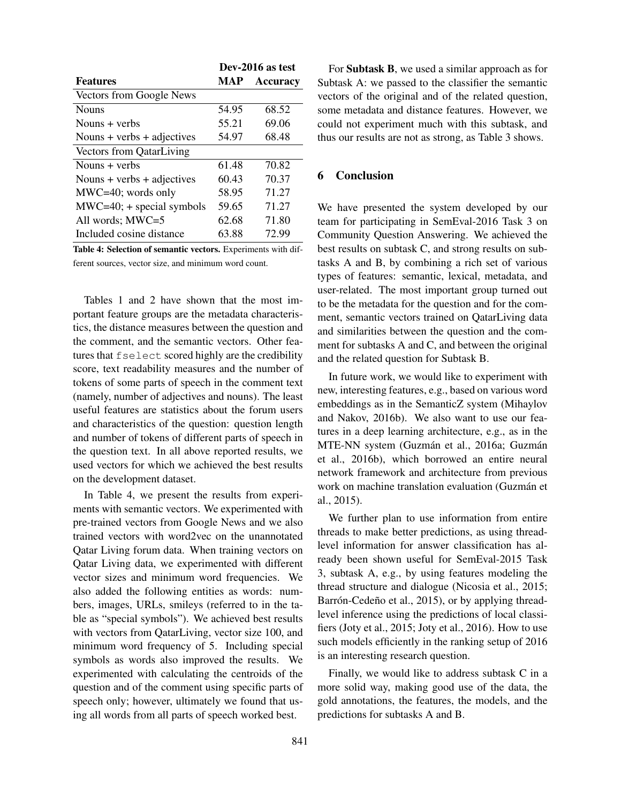|                                 | Dev-2016 as test |                 |
|---------------------------------|------------------|-----------------|
| <b>Features</b>                 | MAP              | <b>Accuracy</b> |
| Vectors from Google News        |                  |                 |
| <b>Nouns</b>                    | 54.95            | 68.52           |
| Nouns $+$ verbs                 | 55.21            | 69.06           |
| Nouns + verbs + adjectives      | 54.97            | 68.48           |
| <b>Vectors from QatarLiving</b> |                  |                 |
| Nouns $+$ verbs                 | 61.48            | 70.82           |
| Nouns + verbs + adjectives      | 60.43            | 70.37           |
| $MWC=40$ ; words only           | 58.95            | 71.27           |
| $MWC=40$ ; + special symbols    | 59.65            | 71.27           |
| All words; MWC=5                | 62.68            | 71.80           |
| Included cosine distance        | 63.88            | 72.99           |

Table 4: Selection of semantic vectors. Experiments with different sources, vector size, and minimum word count.

Tables 1 and 2 have shown that the most important feature groups are the metadata characteristics, the distance measures between the question and the comment, and the semantic vectors. Other features that fselect scored highly are the credibility score, text readability measures and the number of tokens of some parts of speech in the comment text (namely, number of adjectives and nouns). The least useful features are statistics about the forum users and characteristics of the question: question length and number of tokens of different parts of speech in the question text. In all above reported results, we used vectors for which we achieved the best results on the development dataset.

In Table 4, we present the results from experiments with semantic vectors. We experimented with pre-trained vectors from Google News and we also trained vectors with word2vec on the unannotated Qatar Living forum data. When training vectors on Qatar Living data, we experimented with different vector sizes and minimum word frequencies. We also added the following entities as words: numbers, images, URLs, smileys (referred to in the table as "special symbols"). We achieved best results with vectors from QatarLiving, vector size 100, and minimum word frequency of 5. Including special symbols as words also improved the results. We experimented with calculating the centroids of the question and of the comment using specific parts of speech only; however, ultimately we found that using all words from all parts of speech worked best.

For Subtask B, we used a similar approach as for Subtask A: we passed to the classifier the semantic vectors of the original and of the related question, some metadata and distance features. However, we could not experiment much with this subtask, and thus our results are not as strong, as Table 3 shows.

# 6 Conclusion

We have presented the system developed by our team for participating in SemEval-2016 Task 3 on Community Question Answering. We achieved the best results on subtask C, and strong results on subtasks A and B, by combining a rich set of various types of features: semantic, lexical, metadata, and user-related. The most important group turned out to be the metadata for the question and for the comment, semantic vectors trained on QatarLiving data and similarities between the question and the comment for subtasks A and C, and between the original and the related question for Subtask B.

In future work, we would like to experiment with new, interesting features, e.g., based on various word embeddings as in the SemanticZ system (Mihaylov and Nakov, 2016b). We also want to use our features in a deep learning architecture, e.g., as in the MTE-NN system (Guzmán et al., 2016a; Guzmán et al., 2016b), which borrowed an entire neural network framework and architecture from previous work on machine translation evaluation (Guzmán et al., 2015).

We further plan to use information from entire threads to make better predictions, as using threadlevel information for answer classification has already been shown useful for SemEval-2015 Task 3, subtask A, e.g., by using features modeling the thread structure and dialogue (Nicosia et al., 2015; Barrón-Cedeño et al., 2015), or by applying threadlevel inference using the predictions of local classifiers (Joty et al., 2015; Joty et al., 2016). How to use such models efficiently in the ranking setup of 2016 is an interesting research question.

Finally, we would like to address subtask C in a more solid way, making good use of the data, the gold annotations, the features, the models, and the predictions for subtasks A and B.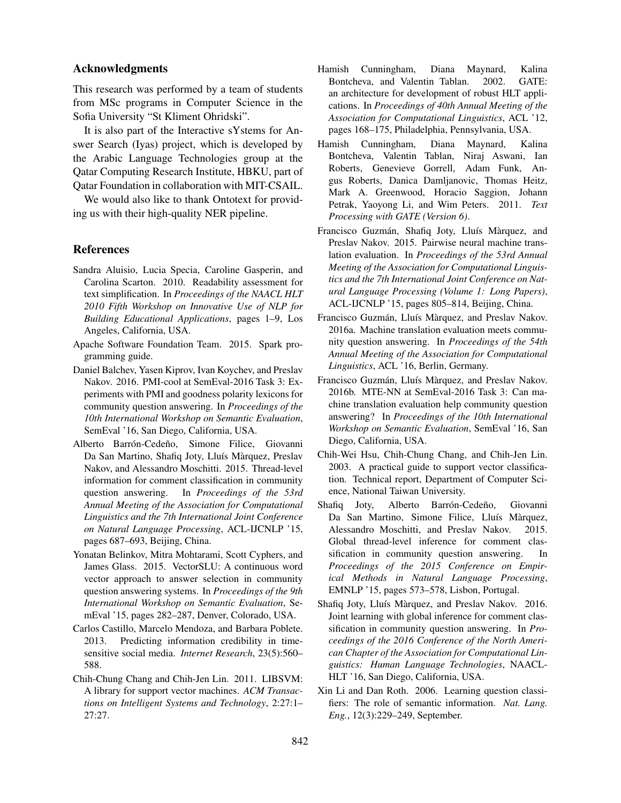#### Acknowledgments

This research was performed by a team of students from MSc programs in Computer Science in the Sofia University "St Kliment Ohridski".

It is also part of the Interactive sYstems for Answer Search (Iyas) project, which is developed by the Arabic Language Technologies group at the Qatar Computing Research Institute, HBKU, part of Qatar Foundation in collaboration with MIT-CSAIL.

We would also like to thank Ontotext for providing us with their high-quality NER pipeline.

#### **References**

- Sandra Aluisio, Lucia Specia, Caroline Gasperin, and Carolina Scarton. 2010. Readability assessment for text simplification. In *Proceedings of the NAACL HLT 2010 Fifth Workshop on Innovative Use of NLP for Building Educational Applications*, pages 1–9, Los Angeles, California, USA.
- Apache Software Foundation Team. 2015. Spark programming guide.
- Daniel Balchev, Yasen Kiprov, Ivan Koychev, and Preslav Nakov. 2016. PMI-cool at SemEval-2016 Task 3: Experiments with PMI and goodness polarity lexicons for community question answering. In *Proceedings of the 10th International Workshop on Semantic Evaluation*, SemEval '16, San Diego, California, USA.
- Alberto Barrón-Cedeño, Simone Filice, Giovanni Da San Martino, Shafiq Joty, Lluís Màrquez, Preslav Nakov, and Alessandro Moschitti. 2015. Thread-level information for comment classification in community question answering. In *Proceedings of the 53rd Annual Meeting of the Association for Computational Linguistics and the 7th International Joint Conference on Natural Language Processing*, ACL-IJCNLP '15, pages 687–693, Beijing, China.
- Yonatan Belinkov, Mitra Mohtarami, Scott Cyphers, and James Glass. 2015. VectorSLU: A continuous word vector approach to answer selection in community question answering systems. In *Proceedings of the 9th International Workshop on Semantic Evaluation*, SemEval '15, pages 282–287, Denver, Colorado, USA.
- Carlos Castillo, Marcelo Mendoza, and Barbara Poblete. 2013. Predicting information credibility in timesensitive social media. *Internet Research*, 23(5):560– 588.
- Chih-Chung Chang and Chih-Jen Lin. 2011. LIBSVM: A library for support vector machines. *ACM Transactions on Intelligent Systems and Technology*, 2:27:1– 27:27.
- Hamish Cunningham, Diana Maynard, Kalina Bontcheva, and Valentin Tablan. 2002. GATE: an architecture for development of robust HLT applications. In *Proceedings of 40th Annual Meeting of the Association for Computational Linguistics*, ACL '12, pages 168–175, Philadelphia, Pennsylvania, USA.
- Hamish Cunningham, Diana Maynard, Kalina Bontcheva, Valentin Tablan, Niraj Aswani, Ian Roberts, Genevieve Gorrell, Adam Funk, Angus Roberts, Danica Damljanovic, Thomas Heitz, Mark A. Greenwood, Horacio Saggion, Johann Petrak, Yaoyong Li, and Wim Peters. 2011. *Text Processing with GATE (Version 6)*.
- Francisco Guzmán, Shafiq Joty, Lluís Màrquez, and Preslav Nakov. 2015. Pairwise neural machine translation evaluation. In *Proceedings of the 53rd Annual Meeting of the Association for Computational Linguistics and the 7th International Joint Conference on Natural Language Processing (Volume 1: Long Papers)*, ACL-IJCNLP '15, pages 805–814, Beijing, China.
- Francisco Guzmán, Lluís Màrquez, and Preslav Nakov. 2016a. Machine translation evaluation meets community question answering. In *Proceedings of the 54th Annual Meeting of the Association for Computational Linguistics*, ACL '16, Berlin, Germany.
- Francisco Guzmán, Lluís Màrquez, and Preslav Nakov. 2016b. MTE-NN at SemEval-2016 Task 3: Can machine translation evaluation help community question answering? In *Proceedings of the 10th International Workshop on Semantic Evaluation*, SemEval '16, San Diego, California, USA.
- Chih-Wei Hsu, Chih-Chung Chang, and Chih-Jen Lin. 2003. A practical guide to support vector classification. Technical report, Department of Computer Science, National Taiwan University.
- Shafiq Joty, Alberto Barrón-Cedeño, Giovanni Da San Martino, Simone Filice, Lluís Màrquez, Alessandro Moschitti, and Preslav Nakov. 2015. Global thread-level inference for comment classification in community question answering. In *Proceedings of the 2015 Conference on Empirical Methods in Natural Language Processing*, EMNLP '15, pages 573–578, Lisbon, Portugal.
- Shafiq Joty, Lluís Màrquez, and Preslav Nakov. 2016. Joint learning with global inference for comment classification in community question answering. In *Proceedings of the 2016 Conference of the North American Chapter of the Association for Computational Linguistics: Human Language Technologies*, NAACL-HLT '16, San Diego, California, USA.
- Xin Li and Dan Roth. 2006. Learning question classifiers: The role of semantic information. *Nat. Lang. Eng.*, 12(3):229–249, September.